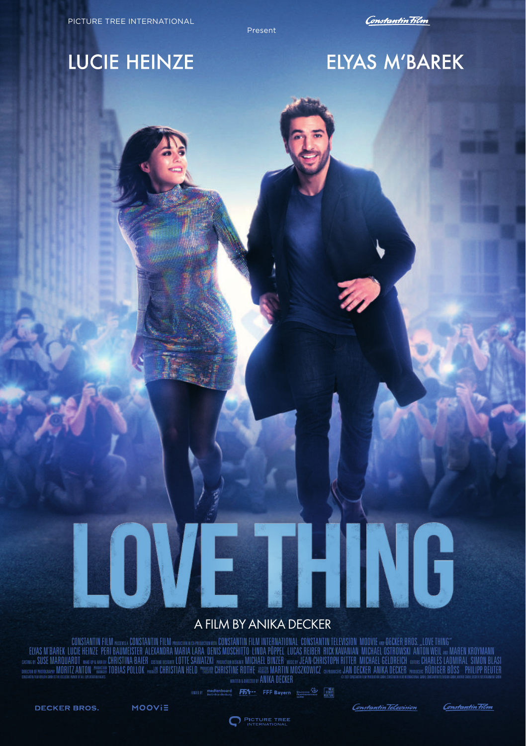Present

### **LUCIE HEINZE**

## ELYAS M'BAREK

# HING HON,

#### A FILM BY ANIKA DECKER

EDISTANTIN FILM ANGERIA CONSTANTIN FILM ANGERIA CONSTANTIN FILM INTERNATIONAL CONSTANTIN TELEVISION MOOVE APPECER BROS, LOVE THING"<br>CONSENTANT IN THE PER BAUMESTER ALEXANDRA MARIA LARA DENIS MOSCHITO LINDA PÕPPEL LUCAS REB **DESCRIPTION AND RELATION WHEN TOBIAS POLLOK WHIS THAT THE ORDER TO BE A RELATED MOST CONTROL O ANNOUNCED AND SECURE ANIXA DECKER AND SECURE SHOULDER BOSS. PHILIPP REVIEW AND SECURE THAT A RELATED BOSS. PHILIPP REVIEW AND** 

FR1 -- FFF Bayern Busseless Strang

MOOVIE

PICTURE TREE

Constantin Television